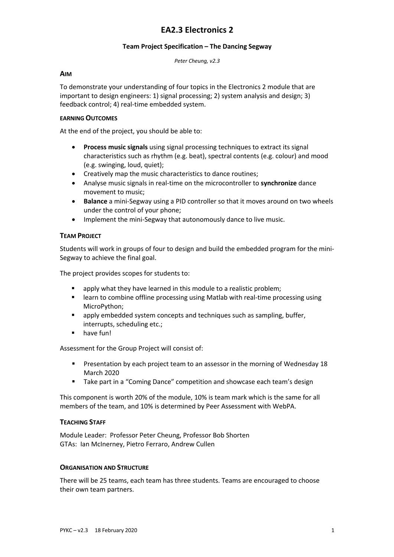# **EA2.3 Electronics 2**

#### **Team Project Specification – The Dancing Segway**

*Peter Cheung, v2.3*

#### **AIM**

To demonstrate your understanding of four topics in the Electronics 2 module that are important to design engineers: 1) signal processing; 2) system analysis and design; 3) feedback control; 4) real-time embedded system.

#### **EARNING OUTCOMES**

At the end of the project, you should be able to:

- **Process music signals** using signal processing techniques to extract its signal characteristics such as rhythm (e.g. beat), spectral contents (e.g. colour) and mood (e.g. swinging, loud, quiet);
- Creatively map the music characteristics to dance routines;
- Analyse music signals in real-time on the microcontroller to **synchronize** dance movement to music;
- **Balance** a mini-Segway using a PID controller so that it moves around on two wheels under the control of your phone;
- Implement the mini-Segway that autonomously dance to live music.

## **TEAM PROJECT**

Students will work in groups of four to design and build the embedded program for the mini-Segway to achieve the final goal.

The project provides scopes for students to:

- **E** apply what they have learned in this module to a realistic problem;
- learn to combine offline processing using Matlab with real-time processing using MicroPython;
- apply embedded system concepts and techniques such as sampling, buffer, interrupts, scheduling etc.;
- have fun!

Assessment for the Group Project will consist of:

- § Presentation by each project team to an assessor in the morning of Wednesday 18 March 2020
- Take part in a "Coming Dance" competition and showcase each team's design

This component is worth 20% of the module, 10% is team mark which is the same for all members of the team, and 10% is determined by Peer Assessment with WebPA.

## **TEACHING STAFF**

Module Leader: Professor Peter Cheung, Professor Bob Shorten GTAs: Ian McInerney, Pietro Ferraro, Andrew Cullen

## **ORGANISATION AND STRUCTURE**

There will be 25 teams, each team has three students. Teams are encouraged to choose their own team partners.